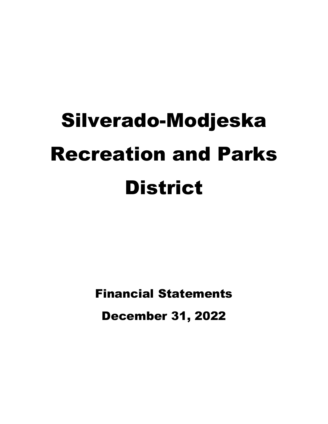Financial Statements December 31, 2022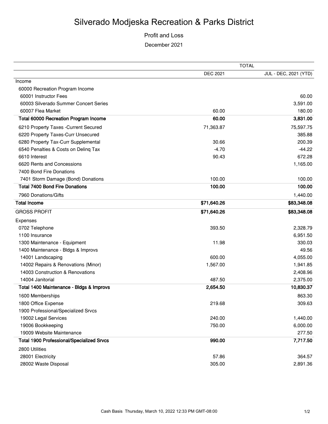#### Profit and Loss December 2021

|                                                  | <b>TOTAL</b>    |                       |  |  |
|--------------------------------------------------|-----------------|-----------------------|--|--|
|                                                  | <b>DEC 2021</b> | JUL - DEC, 2021 (YTD) |  |  |
| Income                                           |                 |                       |  |  |
| 60000 Recreation Program Income                  |                 |                       |  |  |
| 60001 Instructor Fees                            |                 | 60.00                 |  |  |
| 60003 Silverado Summer Concert Series            |                 | 3,591.00              |  |  |
| 60007 Flea Market                                | 60.00           | 180.00                |  |  |
| <b>Total 60000 Recreation Program Income</b>     | 60.00           | 3,831.00              |  |  |
| 6210 Property Taxes - Current Secured            | 71,363.87       | 75,597.75             |  |  |
| 6220 Property Taxes-Curr Unsecured               |                 | 385.88                |  |  |
| 6280 Property Tax-Curr Supplemental              | 30.66           | 200.39                |  |  |
| 6540 Penalties & Costs on Deling Tax             | $-4.70$         | $-44.22$              |  |  |
| 6610 Interest                                    | 90.43           | 672.28                |  |  |
| 6620 Rents and Concessions                       |                 | 1,165.00              |  |  |
| 7400 Bond Fire Donations                         |                 |                       |  |  |
| 7401 Storm Damage (Bond) Donations               | 100.00          | 100.00                |  |  |
| <b>Total 7400 Bond Fire Donations</b>            | 100.00          | 100.00                |  |  |
| 7960 Donations/Gifts                             |                 | 1,440.00              |  |  |
| <b>Total Income</b>                              | \$71,640.26     | \$83,348.08           |  |  |
| <b>GROSS PROFIT</b>                              | \$71,640.26     | \$83,348.08           |  |  |
| Expenses                                         |                 |                       |  |  |
| 0702 Telephone                                   | 393.50          | 2,328.79              |  |  |
| 1100 Insurance                                   |                 | 6,951.50              |  |  |
| 1300 Maintenance - Equipment                     | 11.98           | 330.03                |  |  |
| 1400 Maintenance - Bldgs & Improvs               |                 | 49.56                 |  |  |
| 14001 Landscaping                                | 600.00          | 4,055.00              |  |  |
| 14002 Repairs & Renovations (Minor)              | 1,567.00        | 1,941.85              |  |  |
| 14003 Construction & Renovations                 |                 | 2,408.96              |  |  |
| 14004 Janitorial                                 | 487.50          | 2,375.00              |  |  |
| Total 1400 Maintenance - Bldgs & Improvs         | 2,654.50        | 10,830.37             |  |  |
| 1600 Memberships                                 |                 | 863.30                |  |  |
| 1800 Office Expense                              | 219.68          | 309.63                |  |  |
| 1900 Professional/Specialized Srvcs              |                 |                       |  |  |
| 19002 Legal Services                             | 240.00          | 1,440.00              |  |  |
| 19006 Bookkeeping                                | 750.00          | 6,000.00              |  |  |
| 19009 Website Maintenance                        |                 | 277.50                |  |  |
| <b>Total 1900 Professional/Specialized Srvcs</b> | 990.00          | 7,717.50              |  |  |
| 2800 Utilities                                   |                 |                       |  |  |
| 28001 Electricity                                | 57.86           | 364.57                |  |  |
| 28002 Waste Disposal                             | 305.00          | 2,891.36              |  |  |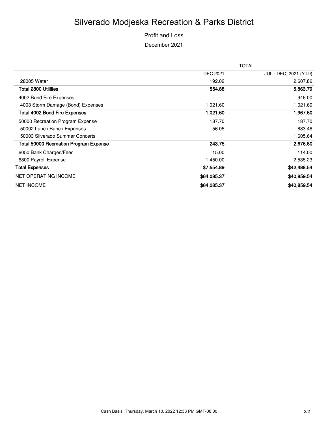Profit and Loss December 2021

|                                        |                 | <b>TOTAL</b>          |
|----------------------------------------|-----------------|-----------------------|
|                                        | <b>DEC 2021</b> | JUL - DEC, 2021 (YTD) |
| 28005 Water                            | 192.02          | 2,607.86              |
| Total 2800 Utilities                   | 554.88          | 5,863.79              |
| 4002 Bond Fire Expenses                |                 | 946.00                |
| 4003 Storm Damage (Bond) Expenses      | 1,021.60        | 1,021.60              |
| <b>Total 4002 Bond Fire Expenses</b>   | 1,021.60        | 1,967.60              |
| 50000 Recreation Program Expense       | 187.70          | 187.70                |
| 50002 Lunch Bunch Expenses             | 56.05           | 883.46                |
| 50003 Silverado Summer Concerts        |                 | 1,605.64              |
| Total 50000 Recreation Program Expense | 243.75          | 2,676.80              |
| 6050 Bank Charges/Fees                 | 15.00           | 114.00                |
| 6800 Payroll Expense                   | 1,450.00        | 2,535.23              |
| <b>Total Expenses</b>                  | \$7,554.89      | \$42,488.54           |
| <b>NET OPERATING INCOME</b>            | \$64,085.37     | \$40,859.54           |
| <b>NET INCOME</b>                      | \$64,085.37     | \$40,859.54           |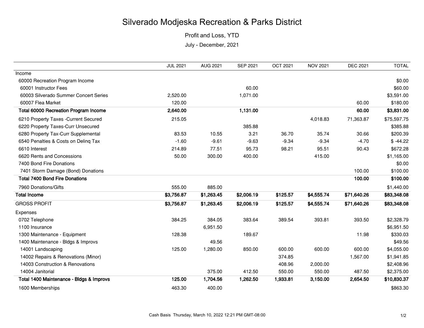Profit and Loss, YTD

July - December, 2021

|                                              | <b>JUL 2021</b> | AUG 2021   | <b>SEP 2021</b> | <b>OCT 2021</b> | <b>NOV 2021</b> | <b>DEC 2021</b> | <b>TOTAL</b> |
|----------------------------------------------|-----------------|------------|-----------------|-----------------|-----------------|-----------------|--------------|
| Income                                       |                 |            |                 |                 |                 |                 |              |
| 60000 Recreation Program Income              |                 |            |                 |                 |                 |                 | \$0.00       |
| 60001 Instructor Fees                        |                 |            | 60.00           |                 |                 |                 | \$60.00      |
| 60003 Silverado Summer Concert Series        | 2,520.00        |            | 1,071.00        |                 |                 |                 | \$3,591.00   |
| 60007 Flea Market                            | 120.00          |            |                 |                 |                 | 60.00           | \$180.00     |
| <b>Total 60000 Recreation Program Income</b> | 2,640.00        |            | 1,131.00        |                 |                 | 60.00           | \$3,831.00   |
| 6210 Property Taxes - Current Secured        | 215.05          |            |                 |                 | 4,018.83        | 71,363.87       | \$75,597.75  |
| 6220 Property Taxes-Curr Unsecured           |                 |            | 385.88          |                 |                 |                 | \$385.88     |
| 6280 Property Tax-Curr Supplemental          | 83.53           | 10.55      | 3.21            | 36.70           | 35.74           | 30.66           | \$200.39     |
| 6540 Penalties & Costs on Deling Tax         | $-1.60$         | $-9.61$    | $-9.63$         | $-9.34$         | $-9.34$         | $-4.70$         | $$ -44.22$   |
| 6610 Interest                                | 214.89          | 77.51      | 95.73           | 98.21           | 95.51           | 90.43           | \$672.28     |
| 6620 Rents and Concessions                   | 50.00           | 300.00     | 400.00          |                 | 415.00          |                 | \$1,165.00   |
| 7400 Bond Fire Donations                     |                 |            |                 |                 |                 |                 | \$0.00       |
| 7401 Storm Damage (Bond) Donations           |                 |            |                 |                 |                 | 100.00          | \$100.00     |
| <b>Total 7400 Bond Fire Donations</b>        |                 |            |                 |                 |                 | 100.00          | \$100.00     |
| 7960 Donations/Gifts                         | 555.00          | 885.00     |                 |                 |                 |                 | \$1,440.00   |
| <b>Total Income</b>                          | \$3,756.87      | \$1,263.45 | \$2,006.19      | \$125.57        | \$4,555.74      | \$71,640.26     | \$83,348.08  |
| <b>GROSS PROFIT</b>                          | \$3,756.87      | \$1,263.45 | \$2,006.19      | \$125.57        | \$4,555.74      | \$71,640.26     | \$83,348.08  |
| Expenses                                     |                 |            |                 |                 |                 |                 |              |
| 0702 Telephone                               | 384.25          | 384.05     | 383.64          | 389.54          | 393.81          | 393.50          | \$2,328.79   |
| 1100 Insurance                               |                 | 6,951.50   |                 |                 |                 |                 | \$6,951.50   |
| 1300 Maintenance - Equipment                 | 128.38          |            | 189.67          |                 |                 | 11.98           | \$330.03     |
| 1400 Maintenance - Bldgs & Improvs           |                 | 49.56      |                 |                 |                 |                 | \$49.56      |
| 14001 Landscaping                            | 125.00          | 1,280.00   | 850.00          | 600.00          | 600.00          | 600.00          | \$4,055.00   |
| 14002 Repairs & Renovations (Minor)          |                 |            |                 | 374.85          |                 | 1,567.00        | \$1,941.85   |
| 14003 Construction & Renovations             |                 |            |                 | 408.96          | 2,000.00        |                 | \$2,408.96   |
| 14004 Janitorial                             |                 | 375.00     | 412.50          | 550.00          | 550.00          | 487.50          | \$2,375.00   |
| Total 1400 Maintenance - Bldgs & Improvs     | 125.00          | 1,704.56   | 1,262.50        | 1,933.81        | 3,150.00        | 2,654.50        | \$10,830.37  |
| 1600 Memberships                             | 463.30          | 400.00     |                 |                 |                 |                 | \$863.30     |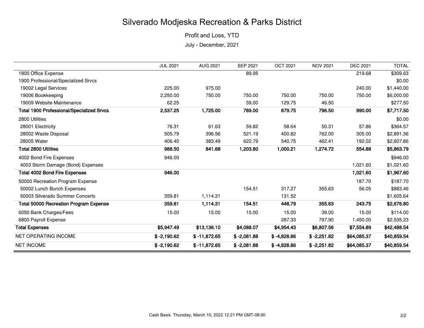Profit and Loss, YTD

July - December, 2021

|                                                  | <b>JUL 2021</b> | <b>AUG 2021</b> | <b>SEP 2021</b> | <b>OCT 2021</b> | <b>NOV 2021</b> | <b>DEC 2021</b> | <b>TOTAL</b> |
|--------------------------------------------------|-----------------|-----------------|-----------------|-----------------|-----------------|-----------------|--------------|
| 1800 Office Expense                              |                 |                 | 89.95           |                 |                 | 219.68          | \$309.63     |
| 1900 Professional/Specialized Srvcs              |                 |                 |                 |                 |                 |                 | \$0.00       |
| 19002 Legal Services                             | 225.00          | 975.00          |                 |                 |                 | 240.00          | \$1,440.00   |
| 19006 Bookkeeping                                | 2,250.00        | 750.00          | 750.00          | 750.00          | 750.00          | 750.00          | \$6,000.00   |
| 19009 Website Maintenance                        | 62.25           |                 | 39.00           | 129.75          | 46.50           |                 | \$277.50     |
| <b>Total 1900 Professional/Specialized Srvcs</b> | 2,537.25        | 1,725.00        | 789.00          | 879.75          | 796.50          | 990.00          | \$7,717.50   |
| 2800 Utilities                                   |                 |                 |                 |                 |                 |                 | \$0.00       |
| 28001 Electricity                                | 76.31           | 61.63           | 59.82           | 58.64           | 50.31           | 57.86           | \$364.57     |
| 28002 Waste Disposal                             | 505.79          | 396.56          | 521.19          | 400.82          | 762.00          | 305.00          | \$2,891.36   |
| 28005 Water                                      | 406.40          | 383.49          | 622.79          | 540.75          | 462.41          | 192.02          | \$2,607.86   |
| <b>Total 2800 Utilities</b>                      | 988.50          | 841.68          | 1,203.80        | 1,000.21        | 1,274.72        | 554.88          | \$5,863.79   |
| 4002 Bond Fire Expenses                          | 946.00          |                 |                 |                 |                 |                 | \$946.00     |
| 4003 Storm Damage (Bond) Expenses                |                 |                 |                 |                 |                 | 1,021.60        | \$1,021.60   |
| <b>Total 4002 Bond Fire Expenses</b>             | 946.00          |                 |                 |                 |                 | 1,021.60        | \$1,967.60   |
| 50000 Recreation Program Expense                 |                 |                 |                 |                 |                 | 187.70          | \$187.70     |
| 50002 Lunch Bunch Expenses                       |                 |                 | 154.51          | 317.27          | 355.63          | 56.05           | \$883.46     |
| 50003 Silverado Summer Concerts                  | 359.81          | 1,114.31        |                 | 131.52          |                 |                 | \$1,605.64   |
| <b>Total 50000 Recreation Program Expense</b>    | 359.81          | 1,114.31        | 154.51          | 448.79          | 355.63          | 243.75          | \$2,676.80   |
| 6050 Bank Charges/Fees                           | 15.00           | 15.00           | 15.00           | 15.00           | 39.00           | 15.00           | \$114.00     |
| 6800 Payroll Expense                             |                 |                 |                 | 287.33          | 797.90          | 1,450.00        | \$2,535.23   |
| <b>Total Expenses</b>                            | \$5,947.49      | \$13,136.10     | \$4,088.07      | \$4,954.43      | \$6,807.56      | \$7,554.89      | \$42,488.54  |
| <b>NET OPERATING INCOME</b>                      | $$ -2,190.62$   | $$ -11,872.65$  | $$ -2,081.88$   | $$ -4,828.86$   | $$ -2,251.82$   | \$64,085.37     | \$40,859.54  |
| <b>NET INCOME</b>                                | $$ -2,190.62$   | $$ -11,872.65$  | $$ -2,081.88$   | $$ -4,828.86$   | $$ -2,251.82$   | \$64,085.37     | \$40,859.54  |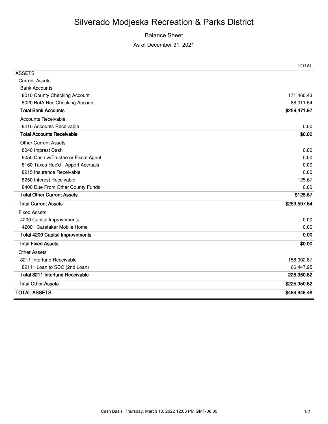#### Balance Sheet

As of December 31, 2021

|                                        | <b>TOTAL</b> |
|----------------------------------------|--------------|
| <b>ASSETS</b>                          |              |
| <b>Current Assets</b>                  |              |
| <b>Bank Accounts</b>                   |              |
| 8010 County Checking Account           | 171,460.43   |
| 8020 BofA Rec Checking Account         | 88,011.54    |
| <b>Total Bank Accounts</b>             | \$259,471.97 |
| <b>Accounts Receivable</b>             |              |
| 8210 Accounts Receivable               | 0.00         |
| <b>Total Accounts Receivable</b>       | \$0.00       |
| <b>Other Current Assets</b>            |              |
| 8040 Imprest Cash                      | 0.00         |
| 8050 Cash w/Trustee or Fiscal Agent    | 0.00         |
| 8160 Taxes Rec'd - Apport Accruals     | 0.00         |
| 8215 Insurance Receivable              | 0.00         |
| 8250 Interest Receivable               | 125.67       |
| 8400 Due From Other County Funds       | 0.00         |
| <b>Total Other Current Assets</b>      | \$125.67     |
| <b>Total Current Assets</b>            | \$259,597.64 |
| <b>Fixed Assets</b>                    |              |
| 4200 Capital Improvements              | 0.00         |
| 42001 Caretaker Mobile Home            | 0.00         |
| <b>Total 4200 Capital Improvements</b> | 0.00         |
| <b>Total Fixed Assets</b>              | \$0.00       |
| <b>Other Assets</b>                    |              |
| 8211 Interfund Receivable              | 158,902.87   |
| 82111 Loan to SCC (2nd Loan)           | 66,447.95    |
| <b>Total 8211 Interfund Receivable</b> | 225,350.82   |
| <b>Total Other Assets</b>              | \$225,350.82 |
| <b>TOTAL ASSETS</b>                    | \$484,948.46 |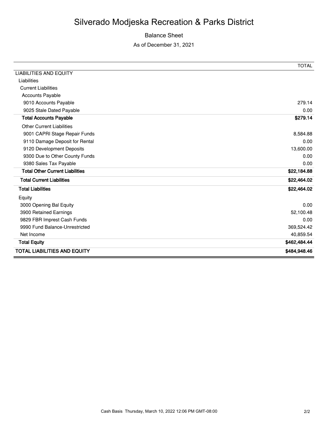#### Balance Sheet

As of December 31, 2021

|                                        | <b>TOTAL</b> |
|----------------------------------------|--------------|
| <b>LIABILITIES AND EQUITY</b>          |              |
| Liabilities                            |              |
| <b>Current Liabilities</b>             |              |
| <b>Accounts Payable</b>                |              |
| 9010 Accounts Payable                  | 279.14       |
| 9025 Stale Dated Payable               | 0.00         |
| <b>Total Accounts Payable</b>          | \$279.14     |
| <b>Other Current Liabilities</b>       |              |
| 9001 CAPRI Stage Repair Funds          | 8,584.88     |
| 9110 Damage Deposit for Rental         | 0.00         |
| 9120 Development Deposits              | 13,600.00    |
| 9300 Due to Other County Funds         | 0.00         |
| 9380 Sales Tax Payable                 | 0.00         |
| <b>Total Other Current Liabilities</b> | \$22,184.88  |
| <b>Total Current Liabilities</b>       | \$22,464.02  |
| <b>Total Liabilities</b>               | \$22,464.02  |
| Equity                                 |              |
| 3000 Opening Bal Equity                | 0.00         |
| 3900 Retained Earnings                 | 52,100.48    |
| 9829 FBR Imprest Cash Funds            | 0.00         |
| 9990 Fund Balance-Unrestricted         | 369,524.42   |
| Net Income                             | 40,859.54    |
| <b>Total Equity</b>                    | \$462,484.44 |
| <b>TOTAL LIABILITIES AND EQUITY</b>    | \$484,948.46 |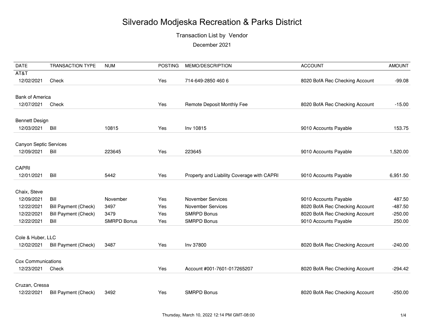Transaction List by Vendor

| <b>DATE</b>                   | <b>TRANSACTION TYPE</b>     | <b>NUM</b>         | <b>POSTING</b> | MEMO/DESCRIPTION                           | <b>ACCOUNT</b>                 | <b>AMOUNT</b> |
|-------------------------------|-----------------------------|--------------------|----------------|--------------------------------------------|--------------------------------|---------------|
| AT&T                          |                             |                    |                |                                            |                                |               |
| 12/02/2021                    | Check                       |                    | Yes            | 714-649-2850 460 6                         | 8020 BofA Rec Checking Account | $-99.08$      |
| <b>Bank of America</b>        |                             |                    |                |                                            |                                |               |
|                               |                             |                    |                |                                            |                                |               |
| 12/07/2021                    | Check                       |                    | Yes            | Remote Deposit Monthly Fee                 | 8020 BofA Rec Checking Account | $-15.00$      |
| <b>Bennett Design</b>         |                             |                    |                |                                            |                                |               |
| 12/03/2021                    | Bill                        | 10815              | Yes            | Inv 10815                                  | 9010 Accounts Payable          | 153.75        |
|                               |                             |                    |                |                                            |                                |               |
| <b>Canyon Septic Services</b> |                             |                    |                |                                            |                                |               |
| 12/09/2021                    | Bill                        | 223645             | Yes            | 223645                                     | 9010 Accounts Payable          | 1,520.00      |
|                               |                             |                    |                |                                            |                                |               |
| <b>CAPRI</b>                  |                             |                    |                |                                            |                                |               |
| 12/01/2021                    | Bill                        | 5442               | Yes            | Property and Liability Coverage with CAPRI | 9010 Accounts Payable          | 6,951.50      |
| Chaix, Steve                  |                             |                    |                |                                            |                                |               |
| 12/09/2021                    | Bill                        | November           | Yes            | <b>November Services</b>                   | 9010 Accounts Payable          | 487.50        |
| 12/22/2021                    | <b>Bill Payment (Check)</b> | 3497               | Yes            | <b>November Services</b>                   | 8020 BofA Rec Checking Account | $-487.50$     |
| 12/22/2021                    | <b>Bill Payment (Check)</b> | 3479               | Yes            | <b>SMRPD Bonus</b>                         | 8020 BofA Rec Checking Account | $-250.00$     |
| 12/22/2021                    | Bill                        | <b>SMRPD Bonus</b> | Yes            | <b>SMRPD Bonus</b>                         | 9010 Accounts Payable          | 250.00        |
|                               |                             |                    |                |                                            |                                |               |
| Cole & Huber, LLC             |                             |                    |                |                                            |                                |               |
| 12/02/2021                    | <b>Bill Payment (Check)</b> | 3487               | Yes            | Inv 37800                                  | 8020 BofA Rec Checking Account | $-240.00$     |
|                               |                             |                    |                |                                            |                                |               |
| <b>Cox Communications</b>     |                             |                    |                |                                            |                                |               |
| 12/23/2021                    | Check                       |                    | Yes            | Account #001-7601-017265207                | 8020 BofA Rec Checking Account | $-294.42$     |
| Cruzan, Cressa                |                             |                    |                |                                            |                                |               |
| 12/22/2021                    | <b>Bill Payment (Check)</b> | 3492               | Yes            | <b>SMRPD Bonus</b>                         | 8020 BofA Rec Checking Account | $-250.00$     |
|                               |                             |                    |                |                                            |                                |               |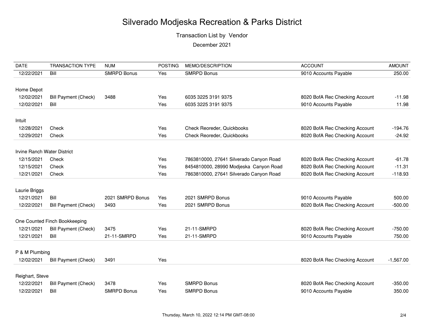Transaction List by Vendor

| <b>DATE</b>                 | <b>TRANSACTION TYPE</b>       | <b>NUM</b>         | <b>POSTING</b> | MEMO/DESCRIPTION                                                                  | <b>ACCOUNT</b>                                                   | <b>AMOUNT</b>        |
|-----------------------------|-------------------------------|--------------------|----------------|-----------------------------------------------------------------------------------|------------------------------------------------------------------|----------------------|
| 12/22/2021                  | Bill                          | <b>SMRPD Bonus</b> | Yes            | <b>SMRPD Bonus</b>                                                                | 9010 Accounts Payable                                            | 250.00               |
|                             |                               |                    |                |                                                                                   |                                                                  |                      |
| Home Depot                  |                               |                    |                |                                                                                   |                                                                  |                      |
| 12/02/2021                  | <b>Bill Payment (Check)</b>   | 3488               | Yes            | 6035 3225 3191 9375                                                               | 8020 BofA Rec Checking Account                                   | $-11.98$             |
| 12/02/2021                  | Bill                          |                    | Yes            | 6035 3225 3191 9375                                                               | 9010 Accounts Payable                                            | 11.98                |
|                             |                               |                    |                |                                                                                   |                                                                  |                      |
| Intuit                      |                               |                    |                |                                                                                   |                                                                  |                      |
| 12/28/2021                  | Check                         |                    | Yes            | Check Reoreder, Quickbooks                                                        | 8020 BofA Rec Checking Account                                   | $-194.76$            |
| 12/29/2021                  | Check                         |                    | Yes            | Check Reoreder, Quickbooks                                                        | 8020 BofA Rec Checking Account                                   | $-24.92$             |
|                             |                               |                    |                |                                                                                   |                                                                  |                      |
| Irvine Ranch Water District |                               |                    |                |                                                                                   |                                                                  |                      |
| 12/15/2021<br>12/15/2021    | Check<br>Check                |                    | Yes<br>Yes     | 7863810000, 27641 Silverado Canyon Road<br>8454810000, 28990 Modjeska Canyon Road | 8020 BofA Rec Checking Account<br>8020 BofA Rec Checking Account | $-61.78$<br>$-11.31$ |
| 12/21/2021                  | Check                         |                    | Yes            | 7863810000, 27641 Silverado Canyon Road                                           | 8020 BofA Rec Checking Account                                   |                      |
|                             |                               |                    |                |                                                                                   |                                                                  | $-118.93$            |
| Laurie Briggs               |                               |                    |                |                                                                                   |                                                                  |                      |
| 12/21/2021                  | Bill                          | 2021 SMRPD Bonus   | Yes            | 2021 SMRPD Bonus                                                                  | 9010 Accounts Payable                                            | 500.00               |
| 12/22/2021                  | <b>Bill Payment (Check)</b>   | 3493               | Yes            | 2021 SMRPD Bonus                                                                  | 8020 BofA Rec Checking Account                                   | $-500.00$            |
|                             |                               |                    |                |                                                                                   |                                                                  |                      |
|                             | One Counted Finch Bookkeeping |                    |                |                                                                                   |                                                                  |                      |
| 12/21/2021                  | <b>Bill Payment (Check)</b>   | 3475               | Yes            | 21-11-SMRPD                                                                       | 8020 BofA Rec Checking Account                                   | $-750.00$            |
| 12/21/2021                  | Bill                          | 21-11-SMRPD        | Yes            | 21-11-SMRPD                                                                       | 9010 Accounts Payable                                            | 750.00               |
|                             |                               |                    |                |                                                                                   |                                                                  |                      |
| P & M Plumbing              |                               |                    |                |                                                                                   |                                                                  |                      |
| 12/02/2021                  | <b>Bill Payment (Check)</b>   | 3491               | Yes            |                                                                                   | 8020 BofA Rec Checking Account                                   | $-1,567.00$          |
| Reighart, Steve             |                               |                    |                |                                                                                   |                                                                  |                      |
| 12/22/2021                  | <b>Bill Payment (Check)</b>   | 3478               | Yes            | <b>SMRPD Bonus</b>                                                                | 8020 BofA Rec Checking Account                                   | $-350.00$            |
| 12/22/2021                  | Bill                          | <b>SMRPD Bonus</b> | Yes            | <b>SMRPD Bonus</b>                                                                | 9010 Accounts Payable                                            | 350.00               |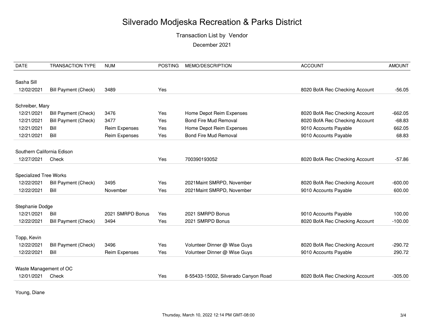Transaction List by Vendor

December 2021

| <b>DATE</b>                   | <b>TRANSACTION TYPE</b>     | <b>NUM</b>           | <b>POSTING</b> | MEMO/DESCRIPTION                     | <b>ACCOUNT</b>                 | <b>AMOUNT</b> |
|-------------------------------|-----------------------------|----------------------|----------------|--------------------------------------|--------------------------------|---------------|
|                               |                             |                      |                |                                      |                                |               |
| Sasha Sill                    |                             |                      |                |                                      |                                |               |
| 12/02/2021                    | <b>Bill Payment (Check)</b> | 3489                 | Yes            |                                      | 8020 BofA Rec Checking Account | $-56.05$      |
| Schreiber, Mary               |                             |                      |                |                                      |                                |               |
| 12/21/2021                    | <b>Bill Payment (Check)</b> | 3476                 | Yes            | Home Depot Reim Expenses             | 8020 BofA Rec Checking Account | $-662.05$     |
| 12/21/2021                    | <b>Bill Payment (Check)</b> | 3477                 | Yes            | <b>Bond Fire Mud Removal</b>         | 8020 BofA Rec Checking Account | $-68.83$      |
| 12/21/2021                    | Bill                        | <b>Reim Expenses</b> | Yes            | Home Depot Reim Expenses             | 9010 Accounts Payable          | 662.05        |
| 12/21/2021                    | Bill                        | Reim Expenses        | Yes            | <b>Bond Fire Mud Removal</b>         | 9010 Accounts Payable          | 68.83         |
| Southern California Edison    |                             |                      |                |                                      |                                |               |
| 12/27/2021                    | Check                       |                      | Yes            | 700390193052                         | 8020 BofA Rec Checking Account | $-57.86$      |
|                               |                             |                      |                |                                      |                                |               |
| <b>Specialized Tree Works</b> |                             |                      |                |                                      |                                |               |
| 12/22/2021                    | <b>Bill Payment (Check)</b> | 3495                 | Yes            | 2021 Maint SMRPD, November           | 8020 BofA Rec Checking Account | $-600.00$     |
| 12/22/2021                    | Bill                        | November             | Yes            | 2021 Maint SMRPD, November           | 9010 Accounts Payable          | 600.00        |
| Stephanie Dodge               |                             |                      |                |                                      |                                |               |
| 12/21/2021                    | Bill                        | 2021 SMRPD Bonus     | Yes            | 2021 SMRPD Bonus                     | 9010 Accounts Payable          | 100.00        |
| 12/22/2021                    | <b>Bill Payment (Check)</b> | 3494                 | Yes            | 2021 SMRPD Bonus                     | 8020 BofA Rec Checking Account | $-100.00$     |
|                               |                             |                      |                |                                      |                                |               |
| Topp, Kevin                   |                             |                      |                |                                      |                                |               |
| 12/22/2021                    | Bill Payment (Check)        | 3496                 | Yes            | Volunteer Dinner @ Wise Guys         | 8020 BofA Rec Checking Account | $-290.72$     |
| 12/22/2021                    | Bill                        | <b>Reim Expenses</b> | Yes            | Volunteer Dinner @ Wise Guys         | 9010 Accounts Payable          | 290.72        |
|                               |                             |                      |                |                                      |                                |               |
| Waste Management of OC        |                             |                      |                |                                      |                                |               |
| 12/01/2021                    | Check                       |                      | Yes            | 8-55433-15002, Silverado Canyon Road | 8020 BofA Rec Checking Account | $-305.00$     |
|                               |                             |                      |                |                                      |                                |               |

Young, Diane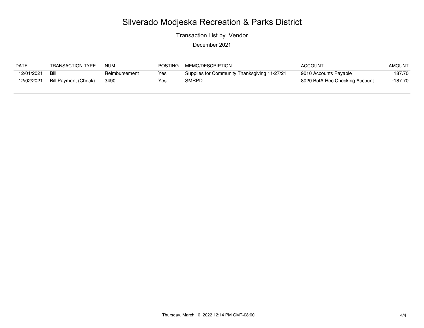Transaction List by Vendor

| <b>DATE</b> | <b>TRANSACTION TYPE</b>     | <b>NUM</b>    | <b>POSTING</b> | MEMO/DESCRIPTION                             | <b>ACCOUNT</b>                 | <b>AMOUNT</b> |
|-------------|-----------------------------|---------------|----------------|----------------------------------------------|--------------------------------|---------------|
| 12/01/2021  | Bill                        | Reimbursement | Yes            | Supplies for Community Thanksgiving 11/27/21 | 9010 Accounts Payable          | 187.70        |
| 12/02/2021  | <b>Bill Payment (Check)</b> | 3490          | Yes            | SMRPD                                        | 8020 BofA Rec Checking Account | -187.70       |
|             |                             |               |                |                                              |                                |               |